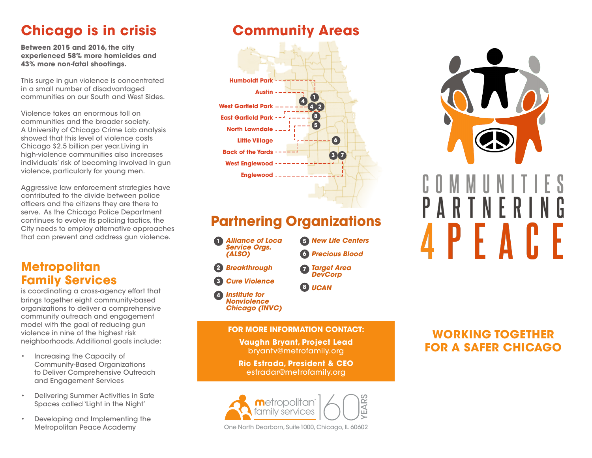# **Chicago is in crisis**

**Between 2015 and 2016, the city experienced 58% more homicides and 43% more non-fatal shootings.**

This surge in gun violence is concentrated in a small number of disadvantaged communities on our South and West Sides.

Violence takes an enormous toll on communities and the broader society. A University of Chicago Crime Lab analysis showed that this level of violence costs Chicago \$2.5 billion per year.Living in high-violence communities also increases individuals' risk of becoming involved in gun violence, particularly for young men.

Aggressive law enforcement strategies have contributed to the divide between police officers and the citizens they are there to serve. As the Chicago Police Department continues to evolve its policing tactics, the City needs to employ alternative approaches that can prevent and address gun violence.

#### **Metropolitan Family Services**

is coordinating a cross-agency effort that brings together eight community-based organizations to deliver a comprehensive community outreach and engagement model with the goal of reducing gun violence in nine of the highest risk neighborhoods. Additional goals include:

- Increasing the Capacity of Community-Based Organizations to Deliver Comprehensive Outreach and Engagement Services
- Delivering Summer Activities in Safe Spaces called 'Light in the Night'
- Developing and Implementing the Metropolitan Peace Academy

## **Community Areas**





## **Partnering Organizations**

*• Alliance of Loca* **1** *Service Orgs. (ALSO)*

*• Breakthrough* **2** *• Cure Violence*

**3**

*• New Life Centers* **5** *• Precious Blood* **6**

*• Target Area*  **7** *DevCorp*

*• UCAN* **8**

*• Institute for Nonviolence Chicago (INVC)* **4**

#### **FOR MORE INFORMATION CONTACT:**

**Vaughn Bryant, Project Lead** bryantv@metrofamily.org

**Ric Estrada, President & CEO** estradar@metrofamily.org



One North Dearborn, Suite 1000, Chicago, IL 60602

### **WORKING TOGETHER FOR A SAFER CHICAGO**